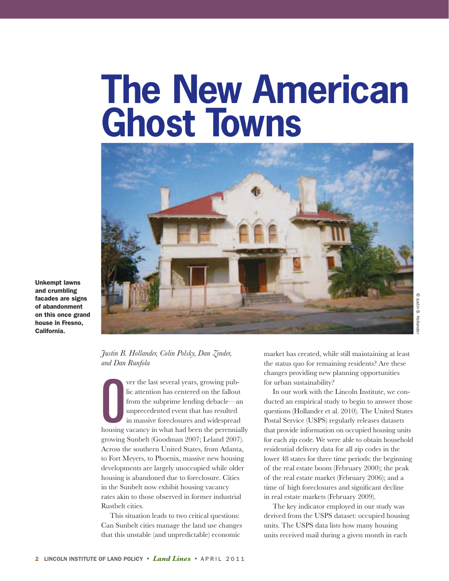# **The New American Ghost Towns**



**Unkempt lawns and crumbling facades are signs of abandonment on this once grand house in Fresno, California.** 

C Justin B. Hollander © Justin B. Hollander

*Justin B. Hollander, Colin Polsky, Dan Zinder, and Dan Runfola*

Ver the last several years, growing pub-<br>lic attention has centered on the fallout<br>from the subprime lending debacle—an<br>unprecedented event that has resulted<br>in massive foreclosures and widespread<br>housing vacancy in what h ver the last several years, growing public attention has centered on the fallout from the subprime lending debacle—an unprecedented event that has resulted in massive foreclosures and widespread growing Sunbelt (Goodman 2007; Leland 2007). Across the southern United States, from Atlanta, to Fort Meyers, to Phoenix, massive new housing developments are largely unoccupied while older housing is abandoned due to foreclosure. Cities in the Sunbelt now exhibit housing vacancy rates akin to those observed in former industrial Rustbelt cities.

 This situation leads to two critical questions: Can Sunbelt cities manage the land use changes that this unstable (and unpredictable) economic

market has created, while still maintaining at least the status quo for remaining residents? Are these changes providing new planning opportunities for urban sustainability?

 In our work with the Lincoln Institute, we conducted an empirical study to begin to answer those questions (Hollander et al. 2010). The United States Postal Service (USPS) regularly releases datasets that provide information on occupied housing units for each zip code. We were able to obtain household residential delivery data for all zip codes in the lower 48 states for three time periods: the beginning of the real estate boom (February 2000); the peak of the real estate market (February 2006); and a time of high foreclosures and significant decline in real estate markets (February 2009).

 The key indicator employed in our study was derived from the USPS dataset: occupied housing units. The USPS data lists how many housing units received mail during a given month in each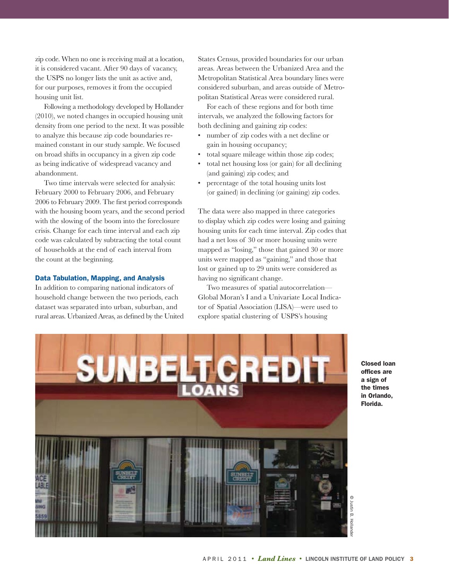zip code. When no one is receiving mail at a location, it is considered vacant. After 90 days of vacancy, the USPS no longer lists the unit as active and, for our purposes, removes it from the occupied housing unit list.

 Following a methodology developed by Hollander (2010), we noted changes in occupied housing unit density from one period to the next. It was possible to analyze this because zip code boundaries remained constant in our study sample. We focused on broad shifts in occupancy in a given zip code as being indicative of widespread vacancy and abandonment.

 Two time intervals were selected for analysis: February 2000 to February 2006, and February 2006 to February 2009. The first period corresponds with the housing boom years, and the second period with the slowing of the boom into the foreclosure crisis. Change for each time interval and each zip code was calculated by subtracting the total count of households at the end of each interval from the count at the beginning.

#### **Data Tabulation, Mapping, and Analysis**

In addition to comparing national indicators of household change between the two periods, each dataset was separated into urban, suburban, and rural areas. Urbanized Areas, as defined by the United States Census, provided boundaries for our urban areas. Areas between the Urbanized Area and the Metropolitan Statistical Area boundary lines were considered suburban, and areas outside of Metropolitan Statistical Areas were considered rural.

 For each of these regions and for both time intervals, we analyzed the following factors for both declining and gaining zip codes:

- number of zip codes with a net decline or gain in housing occupancy;
- total square mileage within those zip codes;
- total net housing loss (or gain) for all declining (and gaining) zip codes; and
- percentage of the total housing units lost (or gained) in declining (or gaining) zip codes.

The data were also mapped in three categories to display which zip codes were losing and gaining housing units for each time interval. Zip codes that had a net loss of 30 or more housing units were mapped as "losing," those that gained 30 or more units were mapped as "gaining," and those that lost or gained up to 29 units were considered as having no significant change.

 Two measures of spatial autocorrelation— Global Moran's I and a Univariate Local Indicator of Spatial Association (LISA)—were used to explore spatial clustering of USPS's housing



**Closed loan offices are a sign of the times in Orlando, Florida.**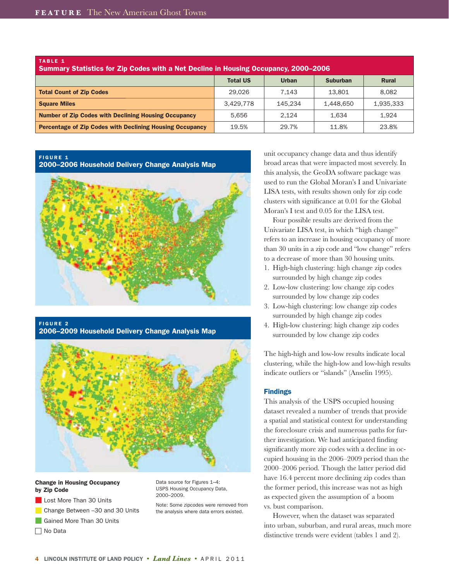| TABLE 1<br><b>Summary Statistics for Zip Codes with a Net Decline in Housing Occupancy, 2000-2006</b> |                 |              |                 |              |  |  |
|-------------------------------------------------------------------------------------------------------|-----------------|--------------|-----------------|--------------|--|--|
|                                                                                                       | <b>Total US</b> | <b>Urban</b> | <b>Suburban</b> | <b>Rural</b> |  |  |
| <b>Total Count of Zip Codes</b>                                                                       | 29,026          | 7.143        | 13.801          | 8.082        |  |  |
| <b>Square Miles</b>                                                                                   | 3.429.778       | 145.234      | 1.448.650       | 1,935,333    |  |  |
| <b>Number of Zip Codes with Declining Housing Occupancy</b>                                           | 5.656           | 2.124        | 1,634           | 1.924        |  |  |
| <b>Percentage of Zip Codes with Declining Housing Occupancy</b>                                       | 19.5%           | 29.7%        | 11.8%           | 23.8%        |  |  |

## **FIGURE 1**

**2000–2006 Household Delivery Change Analysis Map**



**FIGURE 2 2006–2009 Household Delivery Change Analysis Map**



#### **Change in Housing Occupancy by Zip Code**

- Lost More Than 30 Units
- Change Between -30 and 30 Units
- Gained More Than 30 Units

 $\Box$  No Data

Data source for Figures 1–4: USPS Housing Occupancy Data, 2000–2009.

Note: Some zipcodes were removed from the analysis where data errors existed.

unit occupancy change data and thus identify broad areas that were impacted most severely. In this analysis, the GeoDA software package was used to run the Global Moran's I and Univariate LISA tests, with results shown only for zip code clusters with significance at 0.01 for the Global Moran's I test and 0.05 for the LISA test.

 Four possible results are derived from the Univariate LISA test, in which "high change" refers to an increase in housing occupancy of more than 30 units in a zip code and "low change" refers to a decrease of more than 30 housing units.

- 1. High-high clustering: high change zip codes surrounded by high change zip codes
- 2. Low-low clustering: low change zip codes surrounded by low change zip codes
- 3. Low-high clustering: low change zip codes surrounded by high change zip codes
- 4. High-low clustering: high change zip codes surrounded by low change zip codes

The high-high and low-low results indicate local clustering, while the high-low and low-high results indicate outliers or "islands" (Anselin 1995).

#### **Findings**

This analysis of the USPS occupied housing dataset revealed a number of trends that provide a spatial and statistical context for understanding the foreclosure crisis and numerous paths for further investigation. We had anticipated finding significantly more zip codes with a decline in occupied housing in the 2006–2009 period than the 2000–2006 period. Though the latter period did have 16.4 percent more declining zip codes than the former period, this increase was not as high as expected given the assumption of a boom vs. bust comparison.

 However, when the dataset was separated into urban, suburban, and rural areas, much more distinctive trends were evident (tables 1 and 2).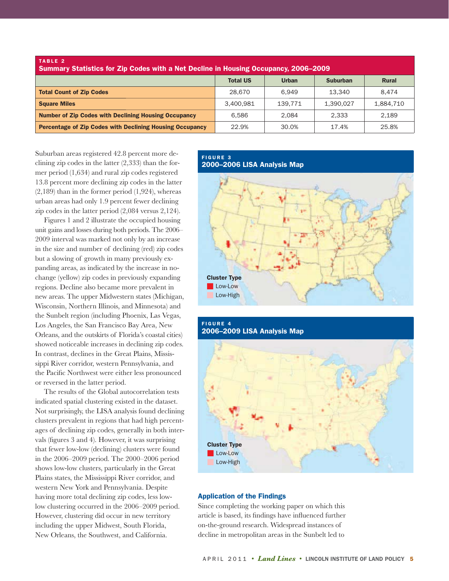| TABLE 2<br><b>Summary Statistics for Zip Codes with a Net Decline in Housing Occupancy, 2006–2009</b> |                 |              |                 |              |  |  |
|-------------------------------------------------------------------------------------------------------|-----------------|--------------|-----------------|--------------|--|--|
|                                                                                                       | <b>Total US</b> | <b>Urban</b> | <b>Suburban</b> | <b>Rural</b> |  |  |
| <b>Total Count of Zip Codes</b>                                                                       | 28,670          | 6.949        | 13.340          | 8.474        |  |  |
| <b>Square Miles</b>                                                                                   | 3.400.981       | 139.771      | 1.390.027       | 1,884,710    |  |  |
| <b>Number of Zip Codes with Declining Housing Occupancy</b>                                           | 6.586           | 2.084        | 2.333           | 2.189        |  |  |
| <b>Percentage of Zip Codes with Declining Housing Occupancy</b>                                       | 22.9%           | 30.0%        | 17.4%           | 25.8%        |  |  |

Suburban areas registered 42.8 percent more declining zip codes in the latter (2,333) than the former period (1,634) and rural zip codes registered 13.8 percent more declining zip codes in the latter  $(2,189)$  than in the former period  $(1,924)$ , whereas urban areas had only 1.9 percent fewer declining zip codes in the latter period (2,084 versus 2,124).

 Figures 1 and 2 illustrate the occupied housing unit gains and losses during both periods. The 2006– 2009 interval was marked not only by an increase in the size and number of declining (red) zip codes but a slowing of growth in many previously expanding areas, as indicated by the increase in nochange (yellow) zip codes in previously expanding regions. Decline also became more prevalent in new areas. The upper Midwestern states (Michigan, Wisconsin, Northern Illinois, and Minnesota) and the Sunbelt region (including Phoenix, Las Vegas, Los Angeles, the San Francisco Bay Area, New Orleans, and the outskirts of Florida's coastal cities) showed noticeable increases in declining zip codes. In contrast, declines in the Great Plains, Mississippi River corridor, western Pennsylvania, and the Pacific Northwest were either less pronounced or reversed in the latter period.

 The results of the Global autocorrelation tests indicated spatial clustering existed in the dataset. Not surprisingly, the LISA analysis found declining clusters prevalent in regions that had high percentages of declining zip codes, generally in both intervals (figures 3 and 4). However, it was surprising that fewer low-low (declining) clusters were found in the 2006–2009 period. The 2000–2006 period shows low-low clusters, particularly in the Great Plains states, the Mississippi River corridor, and western New York and Pennsylvania. Despite having more total declining zip codes, less lowlow clustering occurred in the 2006–2009 period. However, clustering did occur in new territory including the upper Midwest, South Florida, New Orleans, the Southwest, and California.

#### **FIGURE 3 2000–2006 LISA Analysis Map**





# **Application of the Findings**

Since completing the working paper on which this article is based, its findings have influenced further on-the-ground research. Widespread instances of decline in metropolitan areas in the Sunbelt led to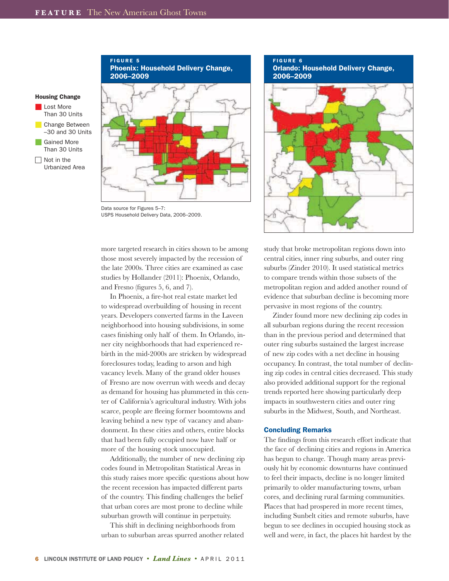

 $\Box$  Not in the Urbanized Area

#### **FIGURE 5 Phoenix: Household Delivery Change, 2006–2009**



Data source for Figures 5–7: USPS Household Delivery Data, 2006–2009.

more targeted research in cities shown to be among those most severely impacted by the recession of the late 2000s. Three cities are examined as case studies by Hollander (2011): Phoenix, Orlando, and Fresno (figures 5, 6, and 7).

 In Phoenix, a fire-hot real estate market led to widespread overbuilding of housing in recent years. Developers converted farms in the Laveen neighborhood into housing subdivisions, in some cases finishing only half of them. In Orlando, inner city neighborhoods that had experienced rebirth in the mid-2000s are stricken by widespread foreclosures today, leading to arson and high vacancy levels. Many of the grand older houses of Fresno are now overrun with weeds and decay as demand for housing has plummeted in this center of California's agricultural industry. With jobs scarce, people are fleeing former boomtowns and leaving behind a new type of vacancy and abandonment. In these cities and others, entire blocks that had been fully occupied now have half or more of the housing stock unoccupied.

 Additionally, the number of new declining zip codes found in Metropolitan Statistical Areas in this study raises more specific questions about how the recent recession has impacted different parts of the country. This finding challenges the belief that urban cores are most prone to decline while suburban growth will continue in perpetuity.

 This shift in declining neighborhoods from urban to suburban areas spurred another related

**FIGURE 6 Orlando: Household Delivery Change, 2006–2009**



study that broke metropolitan regions down into central cities, inner ring suburbs, and outer ring suburbs (Zinder 2010). It used statistical metrics to compare trends within those subsets of the metropolitan region and added another round of evidence that suburban decline is becoming more pervasive in most regions of the country.

 Zinder found more new declining zip codes in all suburban regions during the recent recession than in the previous period and determined that outer ring suburbs sustained the largest increase of new zip codes with a net decline in housing occupancy. In contrast, the total number of declining zip codes in central cities decreased. This study also provided additional support for the regional trends reported here showing particularly deep impacts in southwestern cities and outer ring suburbs in the Midwest, South, and Northeast.

#### **Concluding Remarks**

The findings from this research effort indicate that the face of declining cities and regions in America has begun to change. Though many areas previously hit by economic downturns have continued to feel their impacts, decline is no longer limited primarily to older manufacturing towns, urban cores, and declining rural farming communities. Places that had prospered in more recent times, including Sunbelt cities and remote suburbs, have begun to see declines in occupied housing stock as well and were, in fact, the places hit hardest by the